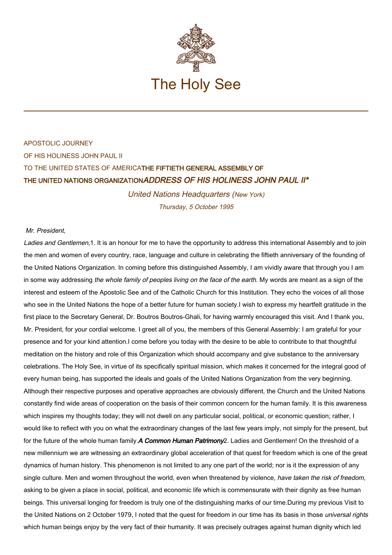

## APOSTOLIC JOURNEY OF HIS HOLINESS JOHN PAUL II TO THE UNITED STATES OF AMERICATHE FIFTIETH GENERAL ASSEMBLY OF THE UNITED NATIONS ORGANIZATIONADDRESS OF HIS HOLINESS JOHN PAUL II\* United Nations Headquarters (New York)

Thursday, 5 October 1995

## Mr. President,

Ladies and Gentlemen, 1. It is an honour for me to have the opportunity to address this international Assembly and to join the men and women of every country, race, language and culture in celebrating the fiftieth anniversary of the founding of the United Nations Organization. In coming before this distinguished Assembly, I am vividly aware that through you I am in some way addressing the whole family of peoples living on the face of the earth. My words are meant as a sign of the interest and esteem of the Apostolic See and of the Catholic Church for this Institution. They echo the voices of all those who see in the United Nations the hope of a better future for human society.I wish to express my heartfelt gratitude in the first place to the Secretary General, Dr. Boutros Boutros-Ghali, for having warmly encouraged this visit. And I thank you, Mr. President, for your cordial welcome. I greet all of you, the members of this General Assembly: I am grateful for your presence and for your kind attention.I come before you today with the desire to be able to contribute to that thoughtful meditation on the history and role of this Organization which should accompany and give substance to the anniversary celebrations. The Holy See, in virtue of its specifically spiritual mission, which makes it concerned for the integral good of every human being, has supported the ideals and goals of the United Nations Organization from the very beginning. Although their respective purposes and operative approaches are obviously different, the Church and the United Nations constantly find wide areas of cooperation on the basis of their common concern for the human family. It is this awareness which inspires my thoughts today; they will not dwell on any particular social, political, or economic question; rather, I would like to reflect with you on what the extraordinary changes of the last few years imply, not simply for the present, but for the future of the whole human family.A Common Human Patrimony2. Ladies and Gentlemen! On the threshold of a new millennium we are witnessing an extraordinary global acceleration of that quest for freedom which is one of the great dynamics of human history. This phenomenon is not limited to any one part of the world; nor is it the expression of any single culture. Men and women throughout the world, even when threatened by violence, have taken the risk of freedom, asking to be given a place in social, political, and economic life which is commensurate with their dignity as free human beings. This universal longing for freedom is truly one of the distinguishing marks of our time.During my previous Visit to the United Nations on 2 October 1979, I noted that the quest for freedom in our time has its basis in those universal rights which human beings enjoy by the very fact of their humanity. It was precisely outrages against human dignity which led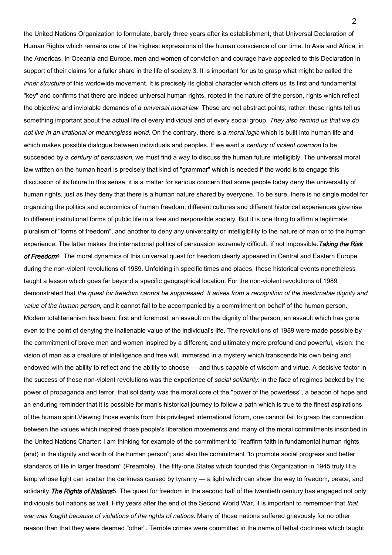the United Nations Organization to formulate, barely three years after its establishment, that Universal Declaration of Human Rights which remains one of the highest expressions of the human conscience of our time. In Asia and Africa, in the Americas, in Oceania and Europe, men and women of conviction and courage have appealed to this Declaration in support of their claims for a fuller share in the life of society.3. It is important for us to grasp what might be called the inner structure of this worldwide movement. It is precisely its global character which offers us its first and fundamental "key" and confirms that there are indeed universal human rights, rooted in the nature of the person, rights which reflect the objective and inviolable demands of a *universal moral law*. These are not abstract points; rather, these rights tell us something important about the actual life of every individual and of every social group. They also remind us that we do not live in an irrational or meaningless world. On the contrary, there is a moral logic which is built into human life and which makes possible dialogue between individuals and peoples. If we want a century of violent coercion to be succeeded by a century of persuasion, we must find a way to discuss the human future intelligibly. The universal moral law written on the human heart is precisely that kind of "grammar" which is needed if the world is to engage this discussion of its future.In this sense, it is a matter for serious concern that some people today deny the universality of human rights, just as they deny that there is a human nature shared by everyone. To be sure, there is no single model for organizing the politics and economics of human freedom; different cultures and different historical experiences give rise to different institutional forms of public life in a free and responsible society. But it is one thing to affirm a legitimate pluralism of "forms of freedom", and another to deny any universality or intelligibility to the nature of man or to the human experience. The latter makes the international politics of persuasion extremely difficult, if not impossible. Taking the Risk of Freedom4. The moral dynamics of this universal quest for freedom clearly appeared in Central and Eastern Europe during the non-violent revolutions of 1989. Unfolding in specific times and places, those historical events nonetheless taught a lesson which goes far beyond a specific geographical location. For the non-violent revolutions of 1989 demonstrated that the quest for freedom cannot be suppressed. It arises from a recognition of the inestimable dignity and value of the human person, and it cannot fail to be accompanied by a commitment on behalf of the human person. Modern totalitarianism has been, first and foremost, an assault on the dignity of the person, an assault which has gone even to the point of denying the inalienable value of the individual's life. The revolutions of 1989 were made possible by the commitment of brave men and women inspired by a different, and ultimately more profound and powerful, vision: the vision of man as a creature of intelligence and free will, immersed in a mystery which transcends his own being and endowed with the ability to reflect and the ability to choose — and thus capable of wisdom and virtue. A decisive factor in the success of those non-violent revolutions was the experience of social solidarity: in the face of regimes backed by the power of propaganda and terror, that solidarity was the moral core of the "power of the powerless", a beacon of hope and an enduring reminder that it is possible for man's historical journey to follow a path which is true to the finest aspirations of the human spirit.Viewing those events from this privileged international forum, one cannot fail to grasp the connection between the values which inspired those people's liberation movements and many of the moral commitments inscribed in the United Nations Charter: I am thinking for example of the commitment to "reaffirm faith in fundamental human rights (and) in the dignity and worth of the human person"; and also the commitment "to promote social progress and better standards of life in larger freedom" (Preamble). The fifty-one States which founded this Organization in 1945 truly lit a lamp whose light can scatter the darkness caused by tyranny — a light which can show the way to freedom, peace, and solidarity. The Rights of Nations5. The quest for freedom in the second half of the twentieth century has engaged not only individuals but nations as well. Fifty years after the end of the Second World War, it is important to remember that that war was fought because of violations of the rights of nations. Many of those nations suffered grievously for no other reason than that they were deemed "other". Terrible crimes were committed in the name of lethal doctrines which taught

 $\mathfrak{p}$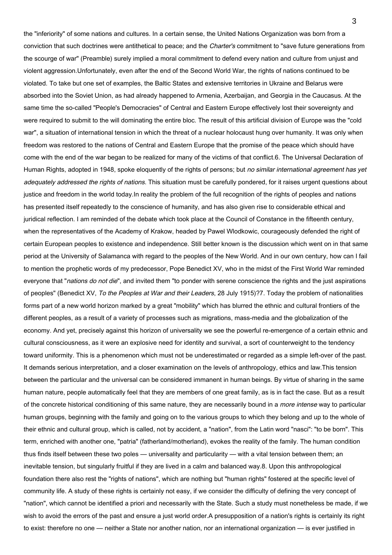the "inferiority" of some nations and cultures. In a certain sense, the United Nations Organization was born from a conviction that such doctrines were antithetical to peace; and the Charter's commitment to "save future generations from the scourge of war" (Preamble) surely implied a moral commitment to defend every nation and culture from unjust and violent aggression.Unfortunately, even after the end of the Second World War, the rights of nations continued to be violated. To take but one set of examples, the Baltic States and extensive territories in Ukraine and Belarus were absorbed into the Soviet Union, as had already happened to Armenia, Azerbaijan, and Georgia in the Caucasus. At the same time the so-called "People's Democracies" of Central and Eastern Europe effectively lost their sovereignty and were required to submit to the will dominating the entire bloc. The result of this artificial division of Europe was the "cold war", a situation of international tension in which the threat of a nuclear holocaust hung over humanity. It was only when freedom was restored to the nations of Central and Eastern Europe that the promise of the peace which should have come with the end of the war began to be realized for many of the victims of that conflict.6. The Universal Declaration of Human Rights, adopted in 1948, spoke eloquently of the rights of persons; but no similar international agreement has yet adequately addressed the rights of nations. This situation must be carefully pondered, for it raises urgent questions about justice and freedom in the world today.In reality the problem of the full recognition of the rights of peoples and nations has presented itself repeatedly to the conscience of humanity, and has also given rise to considerable ethical and juridical reflection. I am reminded of the debate which took place at the Council of Constance in the fifteenth century, when the representatives of the Academy of Krakow, headed by Pawel Wlodkowic, courageously defended the right of certain European peoples to existence and independence. Still better known is the discussion which went on in that same period at the University of Salamanca with regard to the peoples of the New World. And in our own century, how can I fail to mention the prophetic words of my predecessor, Pope Benedict XV, who in the midst of the First World War reminded everyone that "*nations do not die*", and invited them "to ponder with serene conscience the rights and the just aspirations of peoples" (Benedict XV, To the Peoples at War and their Leaders, 28 July 1915)?7. Today the problem of nationalities forms part of a new world horizon marked by a great "mobility" which has blurred the ethnic and cultural frontiers of the different peoples, as a result of a variety of processes such as migrations, mass-media and the globalization of the economy. And yet, precisely against this horizon of universality we see the powerful re-emergence of a certain ethnic and cultural consciousness, as it were an explosive need for identity and survival, a sort of counterweight to the tendency toward uniformity. This is a phenomenon which must not be underestimated or regarded as a simple left-over of the past. It demands serious interpretation, and a closer examination on the levels of anthropology, ethics and law.This tension between the particular and the universal can be considered immanent in human beings. By virtue of sharing in the same human nature, people automatically feel that they are members of one great family, as is in fact the case. But as a result of the concrete historical conditioning of this same nature, they are necessarily bound in a more intense way to particular human groups, beginning with the family and going on to the various groups to which they belong and up to the whole of their ethnic and cultural group, which is called, not by accident, a "nation", from the Latin word "nasci": "to be born". This term, enriched with another one, "patria" (fatherland/motherland), evokes the reality of the family. The human condition thus finds itself between these two poles — universality and particularity — with a vital tension between them; an inevitable tension, but singularly fruitful if they are lived in a calm and balanced way.8. Upon this anthropological foundation there also rest the "rights of nations", which are nothing but "human rights" fostered at the specific level of community life. A study of these rights is certainly not easy, if we consider the difficulty of defining the very concept of "nation", which cannot be identified a priori and necessarily with the State. Such a study must nonetheless be made, if we wish to avoid the errors of the past and ensure a just world order. A presupposition of a nation's rights is certainly its right to exist: therefore no one — neither a State nor another nation, nor an international organization — is ever justified in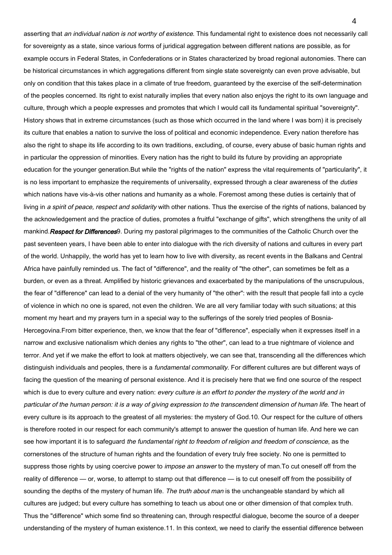asserting that an individual nation is not worthy of existence. This fundamental right to existence does not necessarily call for sovereignty as a state, since various forms of juridical aggregation between different nations are possible, as for example occurs in Federal States, in Confederations or in States characterized by broad regional autonomies. There can be historical circumstances in which aggregations different from single state sovereignty can even prove advisable, but only on condition that this takes place in a climate of true freedom, guaranteed by the exercise of the self-determination of the peoples concerned. Its right to exist naturally implies that every nation also enjoys the right to its own language and culture, through which a people expresses and promotes that which I would call its fundamental spiritual "sovereignty". History shows that in extreme circumstances (such as those which occurred in the land where I was born) it is precisely its culture that enables a nation to survive the loss of political and economic independence. Every nation therefore has also the right to shape its life according to its own traditions, excluding, of course, every abuse of basic human rights and in particular the oppression of minorities. Every nation has the right to build its future by providing an appropriate education for the younger generation.But while the "rights of the nation" express the vital requirements of "particularity", it is no less important to emphasize the requirements of universality, expressed through a clear awareness of the duties which nations have vis-à-vis other nations and humanity as a whole. Foremost among these duties is certainly that of living in a spirit of peace, respect and solidarity with other nations. Thus the exercise of the rights of nations, balanced by the acknowledgement and the practice of duties, promotes a fruitful "exchange of gifts", which strengthens the unity of all mankind. Respect for Differences9. During my pastoral pilgrimages to the communities of the Catholic Church over the past seventeen years, I have been able to enter into dialogue with the rich diversity of nations and cultures in every part of the world. Unhappily, the world has yet to learn how to live with diversity, as recent events in the Balkans and Central Africa have painfully reminded us. The fact of "difference", and the reality of "the other", can sometimes be felt as a burden, or even as a threat. Amplified by historic grievances and exacerbated by the manipulations of the unscrupulous, the fear of "difference" can lead to a denial of the very humanity of "the other": with the result that people fall into a cycle of violence in which no one is spared, not even the children. We are all very familiar today with such situations; at this moment my heart and my prayers turn in a special way to the sufferings of the sorely tried peoples of Bosnia-Hercegovina.From bitter experience, then, we know that the fear of "difference", especially when it expresses itself in a narrow and exclusive nationalism which denies any rights to "the other", can lead to a true nightmare of violence and terror. And yet if we make the effort to look at matters objectively, we can see that, transcending all the differences which distinguish individuals and peoples, there is a fundamental commonality. For different cultures are but different ways of facing the question of the meaning of personal existence. And it is precisely here that we find one source of the respect which is due to every culture and every nation: every culture is an effort to ponder the mystery of the world and in particular of the human person: it is a way of giving expression to the transcendent dimension of human life. The heart of every culture is its approach to the greatest of all mysteries: the mystery of God.10. Our respect for the culture of others is therefore rooted in our respect for each community's attempt to answer the question of human life. And here we can see how important it is to safeguard the fundamental right to freedom of religion and freedom of conscience, as the cornerstones of the structure of human rights and the foundation of every truly free society. No one is permitted to suppress those rights by using coercive power to *impose an answer* to the mystery of man. To cut oneself off from the reality of difference — or, worse, to attempt to stamp out that difference — is to cut oneself off from the possibility of sounding the depths of the mystery of human life. The truth about man is the unchangeable standard by which all cultures are judged; but every culture has something to teach us about one or other dimension of that complex truth. Thus the "difference" which some find so threatening can, through respectful dialogue, become the source of a deeper understanding of the mystery of human existence.11. In this context, we need to clarify the essential difference between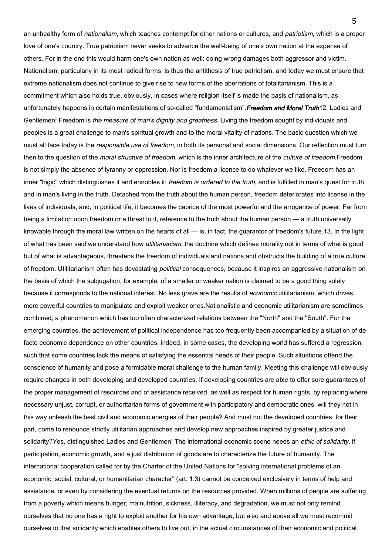an unhealthy form of nationalism, which teaches contempt for other nations or cultures, and patriotism, which is a proper love of one's country. True patriotism never seeks to advance the well-being of one's own nation at the expense of others. For in the end this would harm one's own nation as well: doing wrong damages both aggressor and victim. Nationalism, particularly in its most radical forms, is thus the antithesis of true patriotism, and today we must ensure that extreme nationalism does not continue to give rise to new forms of the aberrations of totalitarianism. This is a commitment which also holds true, obviously, in cases where religion itself is made the basis of nationalism, as unfortunately happens in certain manifestations of so-called "fundamentalism". Freedom and Moral Truth12. Ladies and Gentlemen! Freedom is the measure of man's dignity and greatness. Living the freedom sought by individuals and peoples is a great challenge to man's spiritual growth and to the moral vitality of nations. The basic question which we must all face today is the *responsible use of freedom*, in both its personal and social dimensions. Our reflection must turn then to the question of the *moral structure of freedom*, which is the inner architecture of the *culture of freedom*.Freedom is not simply the absence of tyranny or oppression. Nor is freedom a licence to do whatever we like. Freedom has an inner "logic" which distinguishes it and ennobles it: freedom is ordered to the truth, and is fulfilled in man's quest for truth and in man's living in the truth. Detached from the truth about the human person, freedom deteriorates into license in the lives of individuals, and, in political life, it becomes the caprice of the most powerful and the arrogance of power. Far from being a limitation upon freedom or a threat to it, reference to the truth about the human person — a truth universally knowable through the moral law written on the hearts of all — is, in fact, the guarantor of freedom's future.13. In the light of what has been said we understand how utilitarianism, the doctrine which defines morality not in terms of what is good but of what is advantageous, threatens the freedom of individuals and nations and obstructs the building of a true culture of freedom. Utilitarianism often has devastating political consequences, because it inspires an aggressive nationalism on the basis of which the subjugation, for example, of a smaller or weaker nation is claimed to be a good thing solely because it corresponds to the national interest. No less grave are the results of *economic* utilitarianism, which drives more powerful countries to manipulate and exploit weaker ones.Nationalistic and economic utilitarianism are sometimes combined, a phenomenon which has too often characterized relations between the "North" and the "South". For the emerging countries, the achievement of political independence has too frequently been accompanied by a situation of de facto economic dependence on other countries; indeed, in some cases, the developing world has suffered a regression, such that some countries lack the means of satisfying the essential needs of their people. Such situations offend the conscience of humanity and pose a formidable moral challenge to the human family. Meeting this challenge will obviously require changes in both developing and developed countries. If developing countries are able to offer sure guarantees of the proper management of resources and of assistance received, as well as respect for human rights, by replacing where necessary unjust, corrupt, or authoritarian forms of government with participatory and democratic ones, will they not in this way unleash the best civil and economic energies of their people? And must not the developed countries, for their part, come to renounce strictly utilitarian approaches and develop new approaches inspired by greater justice and solidarity?Yes, distinguished Ladies and Gentlemen! The international economic scene needs an ethic of solidarity, if participation, economic growth, and a just distribution of goods are to characterize the future of humanity. The international cooperation called for by the Charter of the United Nations for "solving international problems of an economic, social, cultural, or humanitarian character" (art. 1.3) cannot be conceived exclusively in terms of help and assistance, or even by considering the eventual returns on the resources provided. When millions of people are suffering from a poverty which means hunger, malnutrition, sickness, illiteracy, and degradation, we must not only remind ourselves that no one has a right to exploit another for his own advantage, but also and above all we must recommit ourselves to that solidarity which enables others to live out, in the actual circumstances of their economic and political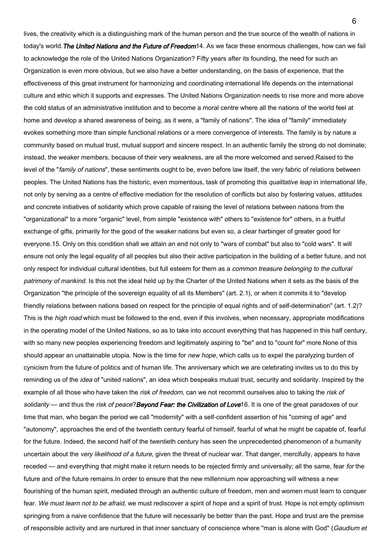lives, the creativity which is a distinguishing mark of the human person and the true source of the wealth of nations in today's world. The United Nations and the Future of Freedom14. As we face these enormous challenges, how can we fail to acknowledge the role of the United Nations Organization? Fifty years after its founding, the need for such an Organization is even more obvious, but we also have a better understanding, on the basis of experience, that the effectiveness of this great instrument for harmonizing and coordinating international life depends on the international culture and ethic which it supports and expresses. The United Nations Organization needs to rise more and more above the cold status of an administrative institution and to become a moral centre where all the nations of the world feel at home and develop a shared awareness of being, as it were, a "family of nations". The idea of "family" immediately evokes something more than simple functional relations or a mere convergence of interests. The family is by nature a community based on mutual trust, mutual support and sincere respect. In an authentic family the strong do not dominate; instead, the weaker members, because of their very weakness, are all the more welcomed and served.Raised to the level of the "family of nations", these sentiments ought to be, even before law itself, the very fabric of relations between peoples. The United Nations has the historic, even momentous, task of promoting this qualitative leap in international life, not only by serving as a centre of effective mediation for the resolution of conflicts but also by fostering values, attitudes and concrete initiatives of solidarity which prove capable of raising the level of relations between nations from the "organizational" to a more "organic" level, from simple "existence with" others to "existence for" others, in a fruitful exchange of gifts, primarily for the good of the weaker nations but even so, a clear harbinger of greater good for everyone.15. Only on this condition shall we attain an end not only to "wars of combat" but also to "cold wars". It will ensure not only the legal equality of all peoples but also their active participation in the building of a better future, and not only respect for individual cultural identities, but full esteem for them as a common treasure belonging to the cultural patrimony of mankind. Is this not the ideal held up by the Charter of the United Nations when it sets as the basis of the Organization "the principle of the sovereign equality of all its Members" (art. 2.1), or when it commits it to "develop friendly relations between nations based on respect for the principle of equal rights and of self-determination" (art. 1.2)? This is the *high road* which must be followed to the end, even if this involves, when necessary, appropriate modifications in the operating model of the United Nations, so as to take into account everything that has happened in this half century, with so many new peoples experiencing freedom and legitimately aspiring to "be" and to "count for" more.None of this should appear an unattainable utopia. Now is the time for new hope, which calls us to expel the paralyzing burden of cynicism from the future of politics and of human life. The anniversary which we are celebrating invites us to do this by reminding us of the *idea* of "united nations", an idea which bespeaks mutual trust, security and solidarity. Inspired by the example of all those who have taken the risk of freedom, can we not recommit ourselves also to taking the risk of solidarity — and thus the risk of peace? Beyond Fear: the Civilization of Love16. It is one of the great paradoxes of our time that man, who began the period we call "modernity" with a self-confident assertion of his "coming of age" and "autonomy", approaches the end of the twentieth century fearful of himself, fearful of what he might be capable of, fearful for the future. Indeed, the second half of the twentieth century has seen the unprecedented phenomenon of a humanity uncertain about the very likelihood of a future, given the threat of nuclear war. That danger, mercifully, appears to have receded — and everything that might make it return needs to be rejected firmly and universally; all the same, fear for the future and of the future remains. In order to ensure that the new millennium now approaching will witness a new flourishing of the human spirit, mediated through an authentic culture of freedom, men and women must learn to conquer fear. We must learn not to be afraid, we must rediscover a spirit of hope and a spirit of trust. Hope is not empty optimism springing from a naive confidence that the future will necessarily be better than the past. Hope and trust are the premise of responsible activity and are nurtured in that inner sanctuary of conscience where "man is alone with God" (Gaudium et